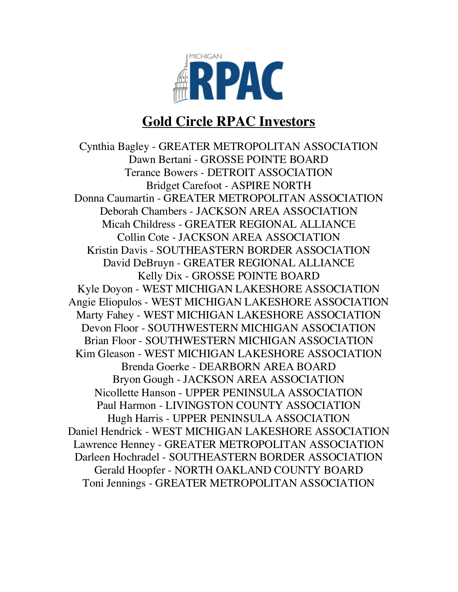

## **Gold Circle RPAC Investors**

Cynthia Bagley - GREATER METROPOLITAN ASSOCIATION Dawn Bertani - GROSSE POINTE BOARD Terance Bowers - DETROIT ASSOCIATION Bridget Carefoot - ASPIRE NORTH Donna Caumartin - GREATER METROPOLITAN ASSOCIATION Deborah Chambers - JACKSON AREA ASSOCIATION Micah Childress - GREATER REGIONAL ALLIANCE Collin Cote - JACKSON AREA ASSOCIATION Kristin Davis - SOUTHEASTERN BORDER ASSOCIATION David DeBruyn - GREATER REGIONAL ALLIANCE Kelly Dix - GROSSE POINTE BOARD Kyle Doyon - WEST MICHIGAN LAKESHORE ASSOCIATION Angie Eliopulos - WEST MICHIGAN LAKESHORE ASSOCIATION Marty Fahey - WEST MICHIGAN LAKESHORE ASSOCIATION Devon Floor - SOUTHWESTERN MICHIGAN ASSOCIATION Brian Floor - SOUTHWESTERN MICHIGAN ASSOCIATION Kim Gleason - WEST MICHIGAN LAKESHORE ASSOCIATION Brenda Goerke - DEARBORN AREA BOARD Bryon Gough - JACKSON AREA ASSOCIATION Nicollette Hanson - UPPER PENINSULA ASSOCIATION Paul Harmon - LIVINGSTON COUNTY ASSOCIATION Hugh Harris - UPPER PENINSULA ASSOCIATION Daniel Hendrick - WEST MICHIGAN LAKESHORE ASSOCIATION Lawrence Henney - GREATER METROPOLITAN ASSOCIATION Darleen Hochradel - SOUTHEASTERN BORDER ASSOCIATION Gerald Hoopfer - NORTH OAKLAND COUNTY BOARD Toni Jennings - GREATER METROPOLITAN ASSOCIATION